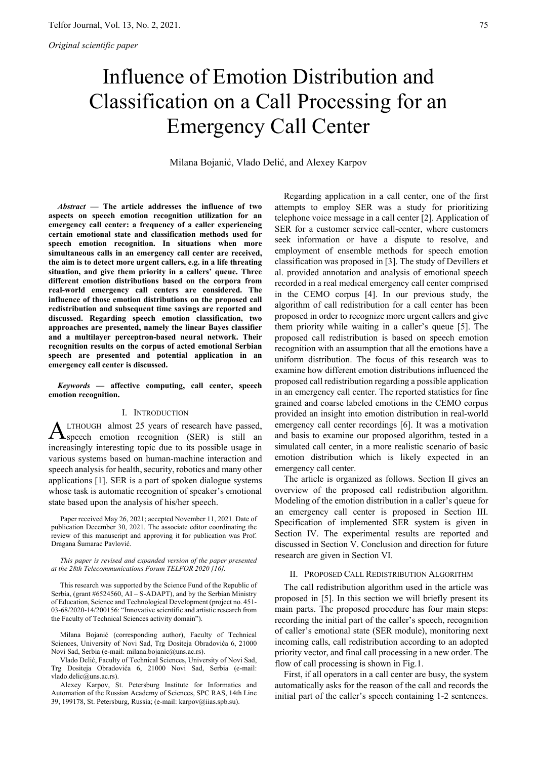# Influence of Emotion Distribution and Classification on a Call Processing for an Emergency Call Center

Milana Bojanić, Vlado Delić, and Alexey Karpov

*Abstract* **— The article addresses the influence of two aspects on speech emotion recognition utilization for an emergency call center: a frequency of a caller experiencing certain emotional state and classification methods used for speech emotion recognition. In situations when more simultaneous calls in an emergency call center are received, the aim is to detect more urgent callers, e.g. in a life threating situation, and give them priority in a callers' queue. Three different emotion distributions based on the corpora from real-world emergency call centers are considered. The influence of those emotion distributions on the proposed call redistribution and subsequent time savings are reported and discussed. Regarding speech emotion classification, two approaches are presented, namely the linear Bayes classifier and a multilayer perceptron-based neural network. Their recognition results on the corpus of acted emotional Serbian speech are presented and potential application in an emergency call center is discussed.** 

*Keywords* **— affective computing, call center, speech emotion recognition.** 

# I. INTRODUCTION

LTHOUGH almost 25 years of research have passed, **ALTHOUGH** almost 25 years of research have passed,<br> **A** speech emotion recognition (SER) is still an increasingly interesting topic due to its possible usage in various systems based on human-machine interaction and speech analysis for health, security, robotics and many other applications [1]. SER is a part of spoken dialogue systems whose task is automatic recognition of speaker's emotional state based upon the analysis of his/her speech.

Paper received May 26, 2021; accepted November 11, 2021. Date of publication December 30, 2021. The associate editor coordinating the review of this manuscript and approving it for publication was Prof. Dragana Šumarac Pavlović.

*This paper is revised and expanded version of the paper presented at the 28th Telecommunications Forum TELFOR 2020 [16].* 

This research was supported by the Science Fund of the Republic of Serbia, (grant #6524560, AI – S-ADAPT), and by the Serbian Ministry of Education, Science and Technological Development (project no. 451- 03-68/2020-14/200156: "Innovative scientific and artistic research from the Faculty of Technical Sciences activity domain").

Milana Bojanić (corresponding author), Faculty of Technical Sciences, University of Novi Sad, Trg Dositeja Obradovića 6, 21000 Novi Sad, Serbia (e-mail: milana.bojanic@uns.ac.rs).

Vlado Delić, Faculty of Technical Sciences, University of Novi Sad, Trg Dositeja Obradovića 6, 21000 Novi Sad, Serbia (e-mail: vlado.delic@uns.ac.rs).

Alexey Karpov, St. Petersburg Institute for Informatics and Automation of the Russian Academy of Sciences, SPC RAS, 14th Line 39, 199178, St. Petersburg, Russia; (e-mail: karpov@iias.spb.su).

Regarding application in a call center, one of the first attempts to employ SER was a study for prioritizing telephone voice message in a call center [2]. Application of SER for a customer service call-center, where customers seek information or have a dispute to resolve, and employment of ensemble methods for speech emotion classification was proposed in [3]. The study of Devillers et al. provided annotation and analysis of emotional speech recorded in a real medical emergency call center comprised in the CEMO corpus [4]. In our previous study, the algorithm of call redistribution for a call center has been proposed in order to recognize more urgent callers and give them priority while waiting in a caller's queue [5]. The proposed call redistribution is based on speech emotion recognition with an assumption that all the emotions have a uniform distribution. The focus of this research was to examine how different emotion distributions influenced the proposed call redistribution regarding a possible application in an emergency call center. The reported statistics for fine grained and coarse labeled emotions in the CEMO corpus provided an insight into emotion distribution in real-world emergency call center recordings [6]. It was a motivation and basis to examine our proposed algorithm, tested in a simulated call center, in a more realistic scenario of basic emotion distribution which is likely expected in an emergency call center.

The article is organized as follows. Section II gives an overview of the proposed call redistribution algorithm. Modeling of the emotion distribution in a caller's queue for an emergency call center is proposed in Section III. Specification of implemented SER system is given in Section IV. The experimental results are reported and discussed in Section V. Conclusion and direction for future research are given in Section VI.

# II. PROPOSED CALL REDISTRIBUTION ALGORITHM

The call redistribution algorithm used in the article was proposed in [5]. In this section we will briefly present its main parts. The proposed procedure has four main steps: recording the initial part of the caller's speech, recognition of caller's emotional state (SER module), monitoring next incoming calls, call redistribution according to an adopted priority vector, and final call processing in a new order. The flow of call processing is shown in Fig.1.

First, if all operators in a call center are busy, the system automatically asks for the reason of the call and records the initial part of the caller's speech containing 1-2 sentences.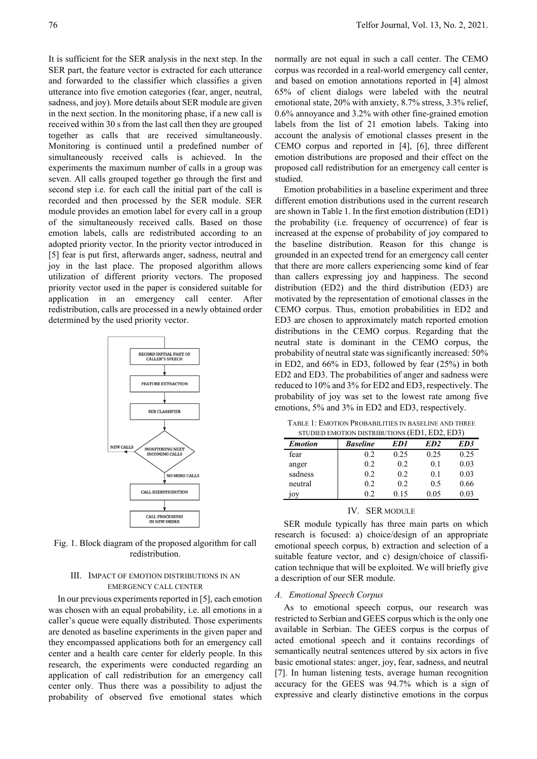It is sufficient for the SER analysis in the next step. In the SER part, the feature vector is extracted for each utterance and forwarded to the classifier which classifies a given utterance into five emotion categories (fear, anger, neutral, sadness, and joy). More details about SER module are given in the next section. In the monitoring phase, if a new call is received within 30 s from the last call then they are grouped together as calls that are received simultaneously. Monitoring is continued until a predefined number of simultaneously received calls is achieved. In the experiments the maximum number of calls in a group was seven. All calls grouped together go through the first and second step i.e. for each call the initial part of the call is recorded and then processed by the SER module. SER module provides an emotion label for every call in a group of the simultaneously received calls. Based on those emotion labels, calls are redistributed according to an adopted priority vector. In the priority vector introduced in [5] fear is put first, afterwards anger, sadness, neutral and joy in the last place. The proposed algorithm allows utilization of different priority vectors. The proposed priority vector used in the paper is considered suitable for application in an emergency call center. After redistribution, calls are processed in a newly obtained order determined by the used priority vector.



Fig. 1. Block diagram of the proposed algorithm for call redistribution.

# III. IMPACT OF EMOTION DISTRIBUTIONS IN AN EMERGENCY CALL CENTER

In our previous experiments reported in [5], each emotion was chosen with an equal probability, i.e. all emotions in a caller's queue were equally distributed. Those experiments are denoted as baseline experiments in the given paper and they encompassed applications both for an emergency call center and a health care center for elderly people. In this research, the experiments were conducted regarding an application of call redistribution for an emergency call center only. Thus there was a possibility to adjust the probability of observed five emotional states which normally are not equal in such a call center. The CEMO corpus was recorded in a real-world emergency call center, and based on emotion annotations reported in [4] almost 65% of client dialogs were labeled with the neutral emotional state, 20% with anxiety, 8.7% stress, 3.3% relief, 0.6% annoyance and 3.2% with other fine-grained emotion labels from the list of 21 emotion labels. Taking into account the analysis of emotional classes present in the CEMO corpus and reported in [4], [6], three different emotion distributions are proposed and their effect on the proposed call redistribution for an emergency call center is studied.

Emotion probabilities in a baseline experiment and three different emotion distributions used in the current research are shown in Table 1. In the first emotion distribution (ED1) the probability (i.e. frequency of occurrence) of fear is increased at the expense of probability of joy compared to the baseline distribution. Reason for this change is grounded in an expected trend for an emergency call center that there are more callers experiencing some kind of fear than callers expressing joy and happiness. The second distribution (ED2) and the third distribution (ED3) are motivated by the representation of emotional classes in the CEMO corpus. Thus, emotion probabilities in ED2 and ED3 are chosen to approximately match reported emotion distributions in the CEMO corpus. Regarding that the neutral state is dominant in the CEMO corpus, the probability of neutral state was significantly increased: 50% in ED2, and 66% in ED3, followed by fear (25%) in both ED2 and ED3. The probabilities of anger and sadness were reduced to 10% and 3% for ED2 and ED3, respectively. The probability of joy was set to the lowest rate among five emotions, 5% and 3% in ED2 and ED3, respectively.

TABLE 1: EMOTION PROBABILITIES IN BASELINE AND THREE

| STUDIED EMOTION DISTRIBUTIONS (ED1, ED2, ED3) |                 |      |                 |      |  |  |  |  |  |
|-----------------------------------------------|-----------------|------|-----------------|------|--|--|--|--|--|
| <b>Emotion</b>                                | <b>Baseline</b> | ED1  | ED <sub>2</sub> | ED3  |  |  |  |  |  |
| fear                                          | 0.2             | 0.25 | 0.25            | 0.25 |  |  |  |  |  |
| anger                                         | 0.2             | 0.2  | 0.1             | 0.03 |  |  |  |  |  |
| sadness                                       | 0.2             | 0.2  | 0.1             | 0.03 |  |  |  |  |  |
| neutral                                       | 0.2             | 0.2  | 0.5             | 0.66 |  |  |  |  |  |
| 10y                                           | 02              | 0.15 | 0.05            | 0.03 |  |  |  |  |  |

# IV. SER MODULE

SER module typically has three main parts on which research is focused: a) choice/design of an appropriate emotional speech corpus, b) extraction and selection of a suitable feature vector, and c) design/choice of classification technique that will be exploited. We will briefly give a description of our SER module.

# *A. Emotional Speech Corpus*

As to emotional speech corpus, our research was restricted to Serbian and GEES corpus which is the only one available in Serbian. The GEES corpus is the corpus of acted emotional speech and it contains recordings of semantically neutral sentences uttered by six actors in five basic emotional states: anger, joy, fear, sadness, and neutral [7]. In human listening tests, average human recognition accuracy for the GEES was 94.7% which is a sign of expressive and clearly distinctive emotions in the corpus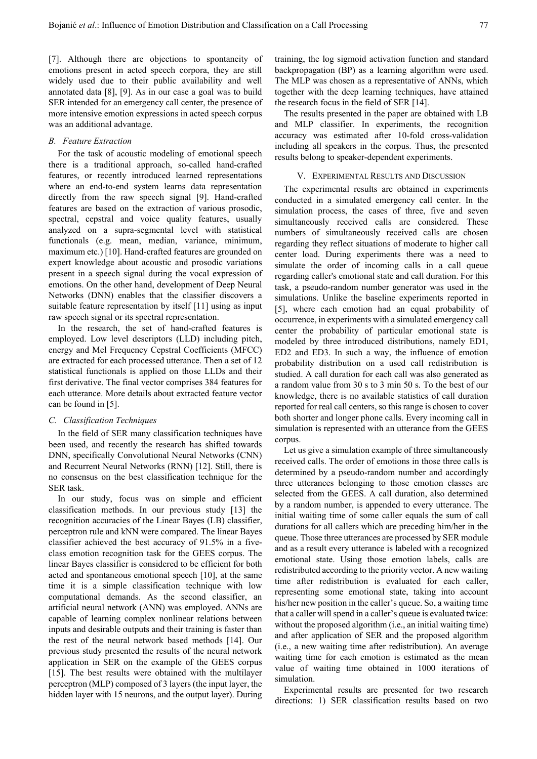[7]. Although there are objections to spontaneity of emotions present in acted speech corpora, they are still widely used due to their public availability and well annotated data [8], [9]. As in our case a goal was to build SER intended for an emergency call center, the presence of more intensive emotion expressions in acted speech corpus was an additional advantage.

#### *B. Feature Extraction*

For the task of acoustic modeling of emotional speech there is a traditional approach, so-called hand-crafted features, or recently introduced learned representations where an end-to-end system learns data representation directly from the raw speech signal [9]. Hand-crafted features are based on the extraction of various prosodic, spectral, cepstral and voice quality features, usually analyzed on a supra-segmental level with statistical functionals (e.g. mean, median, variance, minimum, maximum etc.) [10]. Hand-crafted features are grounded on expert knowledge about acoustic and prosodic variations present in a speech signal during the vocal expression of emotions. On the other hand, development of Deep Neural Networks (DNN) enables that the classifier discovers a suitable feature representation by itself [11] using as input raw speech signal or its spectral representation.

In the research, the set of hand-crafted features is employed. Low level descriptors (LLD) including pitch, energy and Mel Frequency Cepstral Coefficients (MFCC) are extracted for each processed utterance. Then a set of 12 statistical functionals is applied on those LLDs and their first derivative. The final vector comprises 384 features for each utterance. More details about extracted feature vector can be found in [5].

# *C. Classification Techniques*

In the field of SER many classification techniques have been used, and recently the research has shifted towards DNN, specifically Convolutional Neural Networks (CNN) and Recurrent Neural Networks (RNN) [12]. Still, there is no consensus on the best classification technique for the SER task.

In our study, focus was on simple and efficient classification methods. In our previous study [13] the recognition accuracies of the Linear Bayes (LB) classifier, perceptron rule and kNN were compared. The linear Bayes classifier achieved the best accuracy of 91.5% in a fiveclass emotion recognition task for the GEES corpus. The linear Bayes classifier is considered to be efficient for both acted and spontaneous emotional speech [10], at the same time it is a simple classification technique with low computational demands. As the second classifier, an artificial neural network (ANN) was employed. ANNs are capable of learning complex nonlinear relations between inputs and desirable outputs and their training is faster than the rest of the neural network based methods [14]. Our previous study presented the results of the neural network application in SER on the example of the GEES corpus [15]. The best results were obtained with the multilayer perceptron (MLP) composed of 3 layers (the input layer, the hidden layer with 15 neurons, and the output layer). During

training, the log sigmoid activation function and standard backpropagation (BP) as a learning algorithm were used. The MLP was chosen as a representative of ANNs, which together with the deep learning techniques, have attained the research focus in the field of SER [14].

The results presented in the paper are obtained with LB and MLP classifier. In experiments, the recognition accuracy was estimated after 10-fold cross-validation including all speakers in the corpus. Thus, the presented results belong to speaker-dependent experiments.

#### V. EXPERIMENTAL RESULTS AND DISCUSSION

The experimental results are obtained in experiments conducted in a simulated emergency call center. In the simulation process, the cases of three, five and seven simultaneously received calls are considered. These numbers of simultaneously received calls are chosen regarding they reflect situations of moderate to higher call center load. During experiments there was a need to simulate the order of incoming calls in a call queue regarding caller's emotional state and call duration. For this task, a pseudo-random number generator was used in the simulations. Unlike the baseline experiments reported in [5], where each emotion had an equal probability of occurrence, in experiments with a simulated emergency call center the probability of particular emotional state is modeled by three introduced distributions, namely ED1, ED2 and ED3. In such a way, the influence of emotion probability distribution on a used call redistribution is studied. A call duration for each call was also generated as a random value from 30 s to 3 min 50 s. To the best of our knowledge, there is no available statistics of call duration reported for real call centers, so this range is chosen to cover both shorter and longer phone calls. Every incoming call in simulation is represented with an utterance from the GEES corpus.

Let us give a simulation example of three simultaneously received calls. The order of emotions in those three calls is determined by a pseudo-random number and accordingly three utterances belonging to those emotion classes are selected from the GEES. A call duration, also determined by a random number, is appended to every utterance. The initial waiting time of some caller equals the sum of call durations for all callers which are preceding him/her in the queue. Those three utterances are processed by SER module and as a result every utterance is labeled with a recognized emotional state. Using those emotion labels, calls are redistributed according to the priority vector. A new waiting time after redistribution is evaluated for each caller, representing some emotional state, taking into account his/her new position in the caller's queue. So, a waiting time that a caller will spend in a caller's queue is evaluated twice: without the proposed algorithm (i.e., an initial waiting time) and after application of SER and the proposed algorithm (i.e., a new waiting time after redistribution). An average waiting time for each emotion is estimated as the mean value of waiting time obtained in 1000 iterations of simulation.

Experimental results are presented for two research directions: 1) SER classification results based on two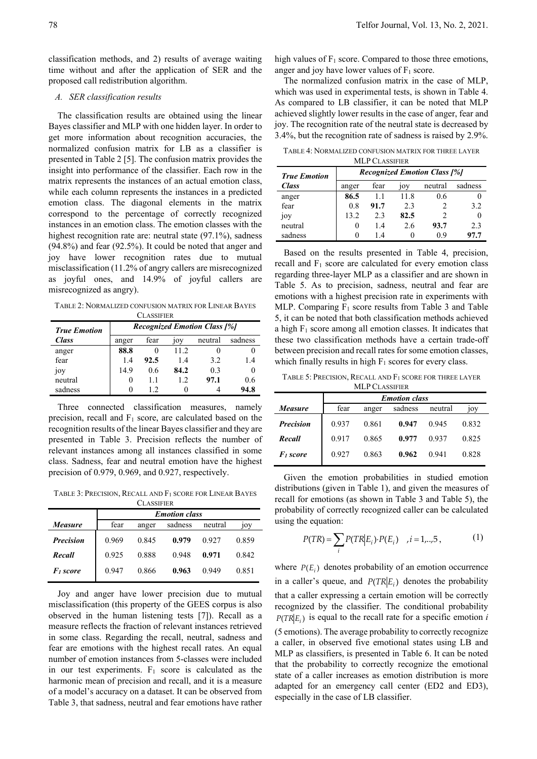classification methods, and 2) results of average waiting time without and after the application of SER and the proposed call redistribution algorithm.

# *A. SER classification results*

The classification results are obtained using the linear Bayes classifier and MLP with one hidden layer. In order to get more information about recognition accuracies, the normalized confusion matrix for LB as a classifier is presented in Table 2 [5]. The confusion matrix provides the insight into performance of the classifier. Each row in the matrix represents the instances of an actual emotion class, while each column represents the instances in a predicted emotion class. The diagonal elements in the matrix correspond to the percentage of correctly recognized instances in an emotion class. The emotion classes with the highest recognition rate are: neutral state (97.1%), sadness (94.8%) and fear (92.5%). It could be noted that anger and joy have lower recognition rates due to mutual misclassification (11.2% of angry callers are misrecognized as joyful ones, and 14.9% of joyful callers are misrecognized as angry).

TABLE 2: NORMALIZED CONFUSION MATRIX FOR LINEAR BAYES

| CLASSIFIER          |                                     |      |       |         |         |  |  |  |
|---------------------|-------------------------------------|------|-------|---------|---------|--|--|--|
| <b>True Emotion</b> | <b>Recognized Emotion Class [%]</b> |      |       |         |         |  |  |  |
| <b>Class</b>        | anger                               | fear | 10y   | neutral | sadness |  |  |  |
| anger               | 88.8                                |      | 11.2. |         |         |  |  |  |
| fear                | 1.4                                 | 92.5 | 1.4   | 3.2     | 1.4     |  |  |  |
| 10y                 | 14.9                                | 0.6  | 84.2  | 0.3     |         |  |  |  |
| neutral             | 0                                   | 11   | 12    | 97.1    | 0.6     |  |  |  |
| sadness             |                                     | 12   |       |         | 94.8    |  |  |  |

Three connected classification measures, namely precision, recall and F<sub>1</sub> score, are calculated based on the recognition results of the linear Bayes classifier and they are presented in Table 3. Precision reflects the number of relevant instances among all instances classified in some class. Sadness, fear and neutral emotion have the highest precision of 0.979, 0.969, and 0.927, respectively.

TABLE 3: PRECISION, RECALL AND F1 SCORE FOR LINEAR BAYES **CLASSIFIER** 

|                             |       | <b>Emotion class</b> |         |         |       |  |  |  |  |  |
|-----------------------------|-------|----------------------|---------|---------|-------|--|--|--|--|--|
| <i>Measure</i>              | fear  | anger                | sadness | neutral | 10V   |  |  |  |  |  |
| <b>Precision</b>            | 0.969 | 0.845                | 0.979   | 0.927   | 0.859 |  |  |  |  |  |
| Recall                      | 0.925 | 0.888                | 0.948   | 0.971   | 0.842 |  |  |  |  |  |
| <b>F</b> <sub>i</sub> score | 0.947 | 0.866                | 0.963   | 0.949   | 0.851 |  |  |  |  |  |

Joy and anger have lower precision due to mutual misclassification (this property of the GEES corpus is also observed in the human listening tests [7]). Recall as a measure reflects the fraction of relevant instances retrieved in some class. Regarding the recall, neutral, sadness and fear are emotions with the highest recall rates. An equal number of emotion instances from 5-classes were included in our test experiments.  $F_1$  score is calculated as the harmonic mean of precision and recall, and it is a measure of a model's accuracy on a dataset. It can be observed from Table 3, that sadness, neutral and fear emotions have rather high values of  $F_1$  score. Compared to those three emotions, anger and joy have lower values of  $F_1$  score.

The normalized confusion matrix in the case of MLP, which was used in experimental tests, is shown in Table 4. As compared to LB classifier, it can be noted that MLP achieved slightly lower results in the case of anger, fear and joy. The recognition rate of the neutral state is decreased by 3.4%, but the recognition rate of sadness is raised by 2.9%.

TABLE 4: NORMALIZED CONFUSION MATRIX FOR THREE LAYER

| <b>MLP CLASSIFIER</b> |                                     |      |                 |         |         |  |  |  |
|-----------------------|-------------------------------------|------|-----------------|---------|---------|--|--|--|
| <b>True Emotion</b>   | <b>Recognized Emotion Class [%]</b> |      |                 |         |         |  |  |  |
| <b>Class</b>          | anger                               | fear | 10 <sub>V</sub> | neutral | sadness |  |  |  |
| anger                 | 86.5                                | 11   | 11.8            | 0.6     |         |  |  |  |
| fear                  | 0.8                                 | 91.7 | 2.3             |         | 3.2     |  |  |  |
| joy                   | 13.2                                | 2.3  | 82.5            | 2       |         |  |  |  |
| neutral               | 0                                   | 1.4  | 2.6             | 93.7    | 2.3     |  |  |  |
| sadness               |                                     | 14   |                 | 09      | 97.7    |  |  |  |

Based on the results presented in Table 4, precision, recall and  $F_1$  score are calculated for every emotion class regarding three-layer MLP as a classifier and are shown in Table 5. As to precision, sadness, neutral and fear are emotions with a highest precision rate in experiments with MLP. Comparing  $F_1$  score results from Table 3 and Table 5, it can be noted that both classification methods achieved a high  $F_1$  score among all emotion classes. It indicates that these two classification methods have a certain trade-off between precision and recall rates for some emotion classes, which finally results in high  $F_1$  scores for every class.

TABLE 5: PRECISION, RECALL AND F1 SCORE FOR THREE LAYER

| <b>MLP CLASSIFIER</b> |                      |       |         |         |       |  |  |  |  |
|-----------------------|----------------------|-------|---------|---------|-------|--|--|--|--|
|                       | <b>Emotion</b> class |       |         |         |       |  |  |  |  |
| <b>Measure</b>        | fear                 | anger | sadness | neutral | 10V   |  |  |  |  |
| <b>Precision</b>      | 0.937                | 0.861 | 0.947   | 0.945   | 0.832 |  |  |  |  |
| Recall                | 0.917                | 0.865 | 0.977   | 0.937   | 0.825 |  |  |  |  |
| F <sub>1</sub> score  | 0.927                | 0.863 | 0.962   | 0.941   | 0.828 |  |  |  |  |

Given the emotion probabilities in studied emotion distributions (given in Table 1), and given the measures of recall for emotions (as shown in Table 3 and Table 5), the probability of correctly recognized caller can be calculated using the equation:

$$
P(TR) = \sum_{i} P(TR|E_i) \cdot P(E_i) \quad , i = 1,..,5 \,, \tag{1}
$$

where  $P(E_i)$  denotes probability of an emotion occurrence in a caller's queue, and  $P(TR|E_i)$  denotes the probability that a caller expressing a certain emotion will be correctly recognized by the classifier. The conditional probability  $P(TR|E_i)$  is equal to the recall rate for a specific emotion *i* (5 emotions). The average probability to correctly recognize a caller, in observed five emotional states using LB and MLP as classifiers, is presented in Table 6. It can be noted that the probability to correctly recognize the emotional state of a caller increases as emotion distribution is more adapted for an emergency call center (ED2 and ED3), especially in the case of LB classifier.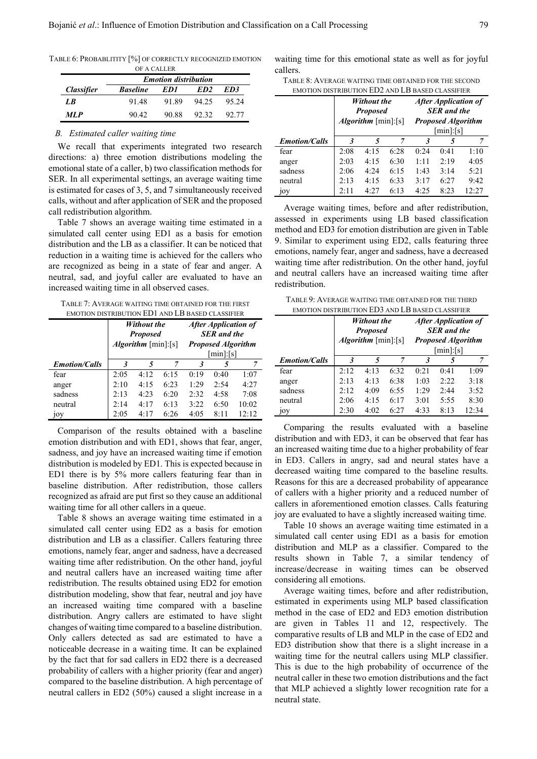TABLE 6: PROBABLITITY [%] OF CORRECTLY RECOGNIZED EMOTION

| OF A CALLER              |                             |       |                 |       |  |  |  |  |
|--------------------------|-----------------------------|-------|-----------------|-------|--|--|--|--|
|                          | <b>Emotion distribution</b> |       |                 |       |  |  |  |  |
| <i><b>Classifier</b></i> | <b>Baseline</b>             | ED1   | ED <sub>2</sub> | ED3   |  |  |  |  |
| L R                      | 91.48                       | 91.89 | 94.25           | 95.24 |  |  |  |  |
| <b>MLP</b>               | 90.42                       | 90.88 | 92.32           | 92.77 |  |  |  |  |

*B. Estimated caller waiting time* 

We recall that experiments integrated two research directions: a) three emotion distributions modeling the emotional state of a caller, b) two classification methods for SER. In all experimental settings, an average waiting time is estimated for cases of 3, 5, and 7 simultaneously received calls, without and after application of SER and the proposed call redistribution algorithm.

Table 7 shows an average waiting time estimated in a simulated call center using ED1 as a basis for emotion distribution and the LB as a classifier. It can be noticed that reduction in a waiting time is achieved for the callers who are recognized as being in a state of fear and anger. A neutral, sad, and joyful caller are evaluated to have an increased waiting time in all observed cases.

TABLE 7: AVERAGE WAITING TIME OBTAINED FOR THE FIRST EMOTION DISTRIBUTION ED1 AND LB BASED CLASSIFIER

|                      | Without the<br><b>Proposed</b><br><i>Algorithm</i> [ $min$ ]:[ $s$ ] |      |      |      | <b>After Application of</b><br><b>SER</b> and the<br><b>Proposed Algorithm</b><br>$[\min]$ : $[s]$ |       |  |
|----------------------|----------------------------------------------------------------------|------|------|------|----------------------------------------------------------------------------------------------------|-------|--|
| <b>Emotion/Calls</b> | 3                                                                    | 5    | 7    | 3    | 5                                                                                                  | 7     |  |
| fear                 | 2:05                                                                 | 4:12 | 6:15 | 0:19 | 0:40                                                                                               | 1:07  |  |
| anger                | 2:10                                                                 | 4:15 | 6:23 | 1:29 | 2:54                                                                                               | 4:27  |  |
| sadness              | 2:13                                                                 | 4:23 | 6:20 | 2:32 | 4:58                                                                                               | 7:08  |  |
| neutral              | 2:14                                                                 | 4:17 | 6:13 | 3:22 | 6:50                                                                                               | 10:02 |  |
| 10Y                  | 2:05                                                                 | 4:17 | 6:26 | 4:05 | 8:11                                                                                               | 12:12 |  |

Comparison of the results obtained with a baseline emotion distribution and with ED1, shows that fear, anger, sadness, and joy have an increased waiting time if emotion distribution is modeled by ED1. This is expected because in ED1 there is by 5% more callers featuring fear than in baseline distribution. After redistribution, those callers recognized as afraid are put first so they cause an additional waiting time for all other callers in a queue.

Table 8 shows an average waiting time estimated in a simulated call center using ED2 as a basis for emotion distribution and LB as a classifier. Callers featuring three emotions, namely fear, anger and sadness, have a decreased waiting time after redistribution. On the other hand, joyful and neutral callers have an increased waiting time after redistribution. The results obtained using ED2 for emotion distribution modeling, show that fear, neutral and joy have an increased waiting time compared with a baseline distribution. Angry callers are estimated to have slight changes of waiting time compared to a baseline distribution. Only callers detected as sad are estimated to have a noticeable decrease in a waiting time. It can be explained by the fact that for sad callers in ED2 there is a decreased probability of callers with a higher priority (fear and anger) compared to the baseline distribution. A high percentage of neutral callers in ED2 (50%) caused a slight increase in a waiting time for this emotional state as well as for joyful callers.

| TABLE 8: AVERAGE WAITING TIME OBTAINED FOR THE SECOND |
|-------------------------------------------------------|
| EMOTION DISTRIBUTION ED2 AND LB BASED CLASSIFIER      |

|                      | <b>Without the</b><br><b>Proposed</b><br>Algorithm [min]:[s] |      |      |      | <b>After Application of</b><br><b>SER</b> and the<br><b>Proposed Algorithm</b><br>$[\min]$ : $[s]$ |       |
|----------------------|--------------------------------------------------------------|------|------|------|----------------------------------------------------------------------------------------------------|-------|
| <b>Emotion/Calls</b> | $\mathbf{3}$                                                 | 5    | 7    | 3    | 5                                                                                                  | 7     |
| fear                 | 2:08                                                         | 4:15 | 6:28 | 0:24 | 0:41                                                                                               | 1:10  |
| anger                | 2:03                                                         | 4:15 | 6:30 | 1:11 | 2:19                                                                                               | 4:05  |
| sadness              | 2:06                                                         | 4:24 | 6:15 | 1:43 | 3:14                                                                                               | 5:21  |
| neutral              | 2:13                                                         | 4:15 | 6:33 | 3:17 | 6:27                                                                                               | 9:42  |
| 10 <sub>V</sub>      | 2:11                                                         | 4:27 | 6:13 | 4:25 | 8:23                                                                                               | 12:27 |

Average waiting times, before and after redistribution, assessed in experiments using LB based classification method and ED3 for emotion distribution are given in Table 9. Similar to experiment using ED2, calls featuring three emotions, namely fear, anger and sadness, have a decreased waiting time after redistribution. On the other hand, joyful and neutral callers have an increased waiting time after redistribution.

TABLE 9: AVERAGE WAITING TIME OBTAINED FOR THE THIRD EMOTION DISTRIBUTION ED3 AND LB BASED CLASSIFIER

| вявлючия платиния плята для направлять ставантик | <b>Without the</b><br><b>Proposed</b><br>Algorithm [min]:[s] |      |      |      | <b>After Application of</b><br><b>SER</b> and the<br><b>Proposed Algorithm</b><br>$[\min]$ : $[s]$ |       |
|--------------------------------------------------|--------------------------------------------------------------|------|------|------|----------------------------------------------------------------------------------------------------|-------|
| <b>Emotion/Calls</b>                             | 3                                                            | 5    | 7    | 3    | 5                                                                                                  | 7     |
| fear                                             | 2:12                                                         | 4:13 | 6:32 | 0:21 | 0:41                                                                                               | 1:09  |
| anger                                            | 2:13                                                         | 4:13 | 6:38 | 1:03 | 2:22                                                                                               | 3:18  |
| sadness                                          | 2:12                                                         | 4:09 | 6:55 | 1:29 | 2:44                                                                                               | 3:52  |
| neutral                                          | 2:06                                                         | 4:15 | 6:17 | 3:01 | 5:55                                                                                               | 8:30  |
| 10y                                              | 2:30                                                         | 4:02 | 6:27 | 4:33 | 8:13                                                                                               | 12:34 |

Comparing the results evaluated with a baseline distribution and with ED3, it can be observed that fear has an increased waiting time due to a higher probability of fear in ED3. Callers in angry, sad and neural states have a decreased waiting time compared to the baseline results. Reasons for this are a decreased probability of appearance of callers with a higher priority and a reduced number of callers in aforementioned emotion classes. Calls featuring joy are evaluated to have a slightly increased waiting time.

Table 10 shows an average waiting time estimated in a simulated call center using ED1 as a basis for emotion distribution and MLP as a classifier. Compared to the results shown in Table 7, a similar tendency of increase/decrease in waiting times can be observed considering all emotions.

Average waiting times, before and after redistribution, estimated in experiments using MLP based classification method in the case of ED2 and ED3 emotion distribution are given in Tables 11 and 12, respectively. The comparative results of LB and MLP in the case of ED2 and ED3 distribution show that there is a slight increase in a waiting time for the neutral callers using MLP classifier. This is due to the high probability of occurrence of the neutral caller in these two emotion distributions and the fact that MLP achieved a slightly lower recognition rate for a neutral state.